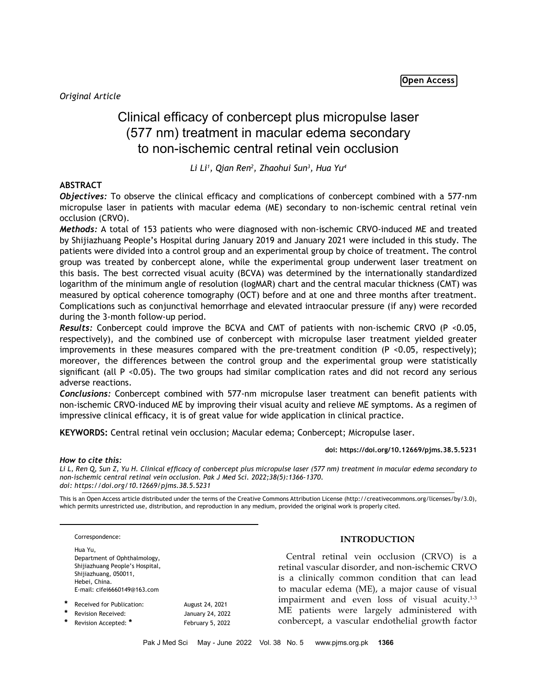*Original Article*

# Clinical efficacy of conbercept plus micropulse laser (577 nm) treatment in macular edema secondary to non-ischemic central retinal vein occlusion

*Li Li1 , Qian Ren2 , Zhaohui Sun3 , Hua Yu4*

# **ABSTRACT**

*Objectives:* To observe the clinical efficacy and complications of conbercept combined with a 577-nm micropulse laser in patients with macular edema (ME) secondary to non-ischemic central retinal vein occlusion (CRVO).

*Methods:* A total of 153 patients who were diagnosed with non-ischemic CRVO-induced ME and treated by Shijiazhuang People's Hospital during January 2019 and January 2021 were included in this study. The patients were divided into a control group and an experimental group by choice of treatment. The control group was treated by conbercept alone, while the experimental group underwent laser treatment on this basis. The best corrected visual acuity (BCVA) was determined by the internationally standardized logarithm of the minimum angle of resolution (logMAR) chart and the central macular thickness (CMT) was measured by optical coherence tomography (OCT) before and at one and three months after treatment. Complications such as conjunctival hemorrhage and elevated intraocular pressure (if any) were recorded during the 3-month follow-up period.

*Results:* Conbercept could improve the BCVA and CMT of patients with non-ischemic CRVO (P <0.05, respectively), and the combined use of conbercept with micropulse laser treatment yielded greater improvements in these measures compared with the pre-treatment condition  $(P \le 0.05$ , respectively); moreover, the differences between the control group and the experimental group were statistically significant (all P <0.05). The two groups had similar complication rates and did not record any serious adverse reactions.

*Conclusions:* Conbercept combined with 577-nm micropulse laser treatment can benefit patients with non-ischemic CRVO-induced ME by improving their visual acuity and relieve ME symptoms. As a regimen of impressive clinical efficacy, it is of great value for wide application in clinical practice.

**KEYWORDS:** Central retinal vein occlusion; Macular edema; Conbercept; Micropulse laser.

**doi: https://doi.org/10.12669/pjms.38.5.5231**

## *How to cite this:*

*Li L, Ren Q, Sun Z, Yu H. Clinical efficacy of conbercept plus micropulse laser (577 nm) treatment in macular edema secondary to non-ischemic central retinal vein occlusion. Pak J Med Sci. 2022;38(5):1366-1370. doi: https://doi.org/10.12669/pjms.38.5.5231*

This is an Open Access article distributed under the terms of the Creative Commons Attribution License (http://creativecommons.org/licenses/by/3.0), which permits unrestricted use, distribution, and reproduction in any medium, provided the original work is properly cited.

Correspondence: Hua Yu, Department of Ophthalmology, Shijiazhuang People's Hospital, Shijiazhuang, 050011, Hebei, China. E-mail: cifei6660149@163.com

| * | Received for Publication: | August 24, 2021  |
|---|---------------------------|------------------|
| * | <b>Revision Received:</b> | January 24, 2022 |
| * | Revision Accepted: *      | February 5, 2022 |

# **INTRODUCTION**

Central retinal vein occlusion (CRVO) is a retinal vascular disorder, and non-ischemic CRVO is a clinically common condition that can lead to macular edema (ME), a major cause of visual impairment and even loss of visual acuity.<sup>1-3</sup> ME patients were largely administered with conbercept, a vascular endothelial growth factor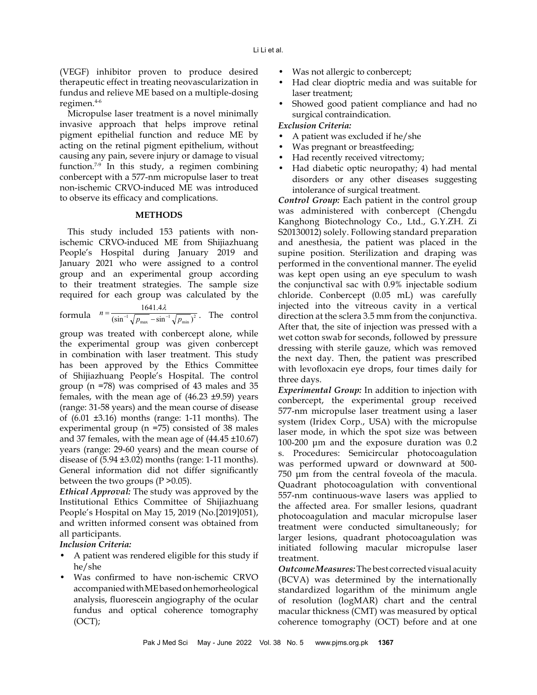(VEGF) inhibitor proven to produce desired therapeutic effect in treating neovascularization in fundus and relieve ME based on a multiple-dosing regimen.4-6

Micropulse laser treatment is a novel minimally invasive approach that helps improve retinal pigment epithelial function and reduce ME by acting on the retinal pigment epithelium, without causing any pain, severe injury or damage to visual function.7-9 In this study, a regimen combining conbercept with a 577-nm micropulse laser to treat non-ischemic CRVO-induced ME was introduced to observe its efficacy and complications.

## **METHODS**

This study included 153 patients with nonischemic CRVO-induced ME from Shijiazhuang People's Hospital during January 2019 and January 2021 who were assigned to a control group and an experimental group according to their treatment strategies. The sample size required for each group was calculated by the 1641.4

formula 
$$
n = \frac{1641.4\lambda}{(\sin^{-1}\sqrt{p_{\text{max}} - \sin^{-1}\sqrt{p_{\text{min}}})^2}}
$$
. The control

group was treated with conbercept alone, while the experimental group was given conbercept in combination with laser treatment. This study has been approved by the Ethics Committee of Shijiazhuang People's Hospital. The control group (n =78) was comprised of 43 males and 35 females, with the mean age of  $(46.23 \pm 9.59)$  years (range: 31-58 years) and the mean course of disease of (6.01 ±3.16) months (range: 1-11 months). The experimental group (n =75) consisted of 38 males and 37 females, with the mean age of (44.45 ±10.67) years (range: 29-60 years) and the mean course of disease of  $(5.94 \pm 3.02)$  months (range: 1-11 months). General information did not differ significantly between the two groups  $(P > 0.05)$ .

*Ethical Approval:* The study was approved by the Institutional Ethics Committee of Shijiazhuang People's Hospital on May 15, 2019 (No.[2019]051), and written informed consent was obtained from all participants.

# *Inclusion Criteria:*

- A patient was rendered eligible for this study if he/she
- Was confirmed to have non-ischemic CRVO accompanied with ME based on hemorheological analysis, fluorescein angiography of the ocular fundus and optical coherence tomography  $(OCT);$
- Was not allergic to conbercept;
- Had clear dioptric media and was suitable for laser treatment;
- Showed good patient compliance and had no surgical contraindication.

# *Exclusion Criteria:*

- A patient was excluded if he/she
- Was pregnant or breastfeeding;
- Had recently received vitrectomy;
- Had diabetic optic neuropathy; 4) had mental disorders or any other diseases suggesting intolerance of surgical treatment.

*Control Group:* Each patient in the control group was administered with conbercept (Chengdu Kanghong Biotechnology Co., Ltd., G.Y.ZH. Zi S20130012) solely. Following standard preparation and anesthesia, the patient was placed in the supine position. Sterilization and draping was performed in the conventional manner. The eyelid was kept open using an eye speculum to wash the conjunctival sac with 0.9% injectable sodium chloride. Conbercept (0.05 mL) was carefully injected into the vitreous cavity in a vertical direction at the sclera 3.5 mm from the conjunctiva. After that, the site of injection was pressed with a wet cotton swab for seconds, followed by pressure dressing with sterile gauze, which was removed the next day. Then, the patient was prescribed with levofloxacin eye drops, four times daily for three days.

*Experimental Group:* In addition to injection with conbercept, the experimental group received 577-nm micropulse laser treatment using a laser system (Iridex Corp., USA) with the micropulse laser mode, in which the spot size was between 100-200 μm and the exposure duration was 0.2 s. Procedures: Semicircular photocoagulation was performed upward or downward at 500- 750 μm from the central foveola of the macula. Quadrant photocoagulation with conventional 557-nm continuous-wave lasers was applied to the affected area. For smaller lesions, quadrant photocoagulation and macular micropulse laser treatment were conducted simultaneously; for larger lesions, quadrant photocoagulation was initiated following macular micropulse laser treatment.

*Outcome Measures:* The best corrected visual acuity (BCVA) was determined by the internationally standardized logarithm of the minimum angle of resolution (logMAR) chart and the central macular thickness (CMT) was measured by optical coherence tomography (OCT) before and at one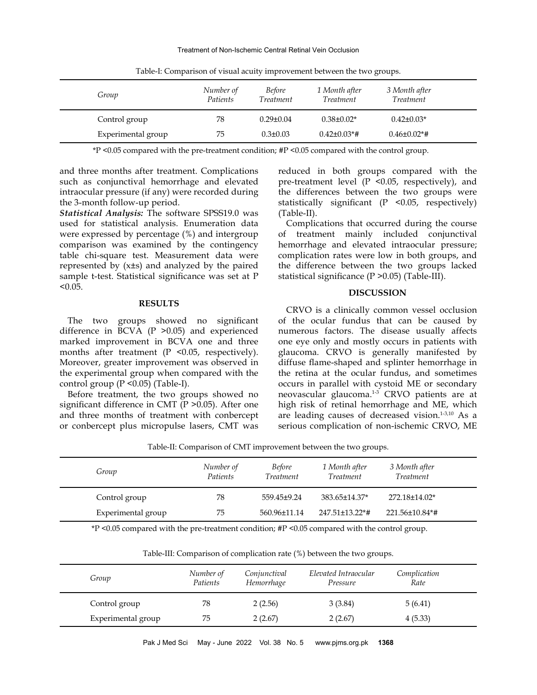#### Treatment of Non-Ischemic Central Retinal Vein Occlusion

| Group              | Number of<br>Patients | <i>Before</i><br><i>Treatment</i> | 1 Month after<br><i>Treatment</i> | 3 Month after<br><i>Treatment</i> |  |
|--------------------|-----------------------|-----------------------------------|-----------------------------------|-----------------------------------|--|
| Control group      | 78                    | $0.29 \pm 0.04$                   | $0.38 \pm 0.02^*$                 | $0.42 \pm 0.03*$                  |  |
| Experimental group | 75                    | $0.3 \pm 0.03$                    | $0.42\pm0.03*$ #                  | $0.46 \pm 0.02$ *#                |  |

Table-I: Comparison of visual acuity improvement between the two groups.

\*P <0.05 compared with the pre-treatment condition; #P <0.05 compared with the control group.

and three months after treatment. Complications such as conjunctival hemorrhage and elevated intraocular pressure (if any) were recorded during the 3-month follow-up period.

*Statistical Analysis:* The software SPSS19.0 was used for statistical analysis. Enumeration data were expressed by percentage (%) and intergroup comparison was examined by the contingency table chi-square test. Measurement data were represented by (x±s) and analyzed by the paired sample t-test. Statistical significance was set at P  $< 0.05$ .

## **RESULTS**

The two groups showed no significant difference in BCVA (P >0.05) and experienced marked improvement in BCVA one and three months after treatment (P <0.05, respectively). Moreover, greater improvement was observed in the experimental group when compared with the control group (P <0.05) (Table-I).

Before treatment, the two groups showed no significant difference in CMT (P > 0.05). After one and three months of treatment with conbercept or conbercept plus micropulse lasers, CMT was reduced in both groups compared with the pre-treatment level (P <0.05, respectively), and the differences between the two groups were statistically significant (P <0.05, respectively) (Table-II).

Complications that occurred during the course of treatment mainly included conjunctival hemorrhage and elevated intraocular pressure; complication rates were low in both groups, and the difference between the two groups lacked statistical significance (P >0.05) (Table-III).

## **DISCUSSION**

CRVO is a clinically common vessel occlusion of the ocular fundus that can be caused by numerous factors. The disease usually affects one eye only and mostly occurs in patients with glaucoma. CRVO is generally manifested by diffuse flame-shaped and splinter hemorrhage in the retina at the ocular fundus, and sometimes occurs in parallel with cystoid ME or secondary neovascular glaucoma.1-3 CRVO patients are at high risk of retinal hemorrhage and ME, which are leading causes of decreased vision.1-3,10 As a serious complication of non-ischemic CRVO, ME

| Table-II: Comparison of Civi I improvement between the two groups. |                       |                                   |                                   |                                   |  |
|--------------------------------------------------------------------|-----------------------|-----------------------------------|-----------------------------------|-----------------------------------|--|
| Group                                                              | Number of<br>Patients | <i>Before</i><br><i>Treatment</i> | 1 Month after<br><i>Treatment</i> | 3 Month after<br><i>Treatment</i> |  |
| Control group                                                      | 78                    | 559.45±9.24                       | 383.65±14.37*                     | 272.18±14.02*                     |  |
| Experimental group                                                 | 75                    | 560.96±11.14                      | $247.51 \pm 13.22$ *#             | $221.56 \pm 10.84$ *#             |  |

Table-II: Comparison of CMT improvement between the two groups.

\*P <0.05 compared with the pre-treatment condition; #P <0.05 compared with the control group.

Table-III: Comparison of complication rate (%) between the two groups.

| Group         |                    | Number of<br>Patients | Conjunctival<br>Hemorrhage | Elevated Intraocular<br>Pressure | Complication<br>Rate |  |
|---------------|--------------------|-----------------------|----------------------------|----------------------------------|----------------------|--|
| Control group |                    | 78                    | 2(2.56)                    | 3(3.84)                          | 5(6.41)              |  |
|               | Experimental group | 75                    | 2(2.67)                    | 2(2.67)                          | 4(5.33)              |  |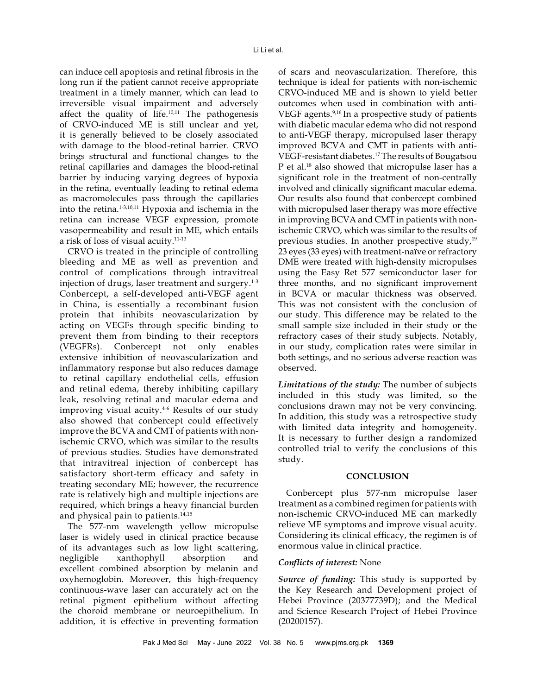can induce cell apoptosis and retinal fibrosis in the long run if the patient cannot receive appropriate treatment in a timely manner, which can lead to irreversible visual impairment and adversely affect the quality of life. $10,11$  The pathogenesis of CRVO-induced ME is still unclear and yet, it is generally believed to be closely associated with damage to the blood-retinal barrier. CRVO brings structural and functional changes to the retinal capillaries and damages the blood-retinal barrier by inducing varying degrees of hypoxia in the retina, eventually leading to retinal edema as macromolecules pass through the capillaries into the retina.1-3,10,11 Hypoxia and ischemia in the retina can increase VEGF expression, promote vasopermeability and result in ME, which entails a risk of loss of visual acuity.11-13

CRVO is treated in the principle of controlling bleeding and ME as well as prevention and control of complications through intravitreal injection of drugs, laser treatment and surgery.<sup>1-3</sup> Conbercept, a self-developed anti-VEGF agent in China, is essentially a recombinant fusion protein that inhibits neovascularization by acting on VEGFs through specific binding to prevent them from binding to their receptors (VEGFRs). Conbercept not only enables extensive inhibition of neovascularization and inflammatory response but also reduces damage to retinal capillary endothelial cells, effusion and retinal edema, thereby inhibiting capillary leak, resolving retinal and macular edema and improving visual acuity.<sup>4-6</sup> Results of our study also showed that conbercept could effectively improve the BCVA and CMT of patients with nonischemic CRVO, which was similar to the results of previous studies. Studies have demonstrated that intravitreal injection of conbercept has satisfactory short-term efficacy and safety in treating secondary ME; however, the recurrence rate is relatively high and multiple injections are required, which brings a heavy financial burden and physical pain to patients.<sup>14,15</sup>

The 577-nm wavelength yellow micropulse laser is widely used in clinical practice because of its advantages such as low light scattering, negligible xanthophyll absorption and excellent combined absorption by melanin and oxyhemoglobin. Moreover, this high-frequency continuous-wave laser can accurately act on the retinal pigment epithelium without affecting the choroid membrane or neuroepithelium. In addition, it is effective in preventing formation

of scars and neovascularization. Therefore, this technique is ideal for patients with non-ischemic CRVO-induced ME and is shown to yield better outcomes when used in combination with anti-VEGF agents.<sup>9,16</sup> In a prospective study of patients with diabetic macular edema who did not respond to anti-VEGF therapy, micropulsed laser therapy improved BCVA and CMT in patients with anti-VEGF-resistant diabetes.17 The results of Bougatsou P et al.18 also showed that micropulse laser has a significant role in the treatment of non-centrally involved and clinically significant macular edema. Our results also found that conbercept combined with micropulsed laser therapy was more effective in improving BCVA and CMT in patients with nonischemic CRVO, which was similar to the results of previous studies. In another prospective study, $19$ 23 eyes (33 eyes) with treatment-naïve or refractory DME were treated with high-density micropulses using the Easy Ret 577 semiconductor laser for three months, and no significant improvement in BCVA or macular thickness was observed. This was not consistent with the conclusion of our study. This difference may be related to the small sample size included in their study or the refractory cases of their study subjects. Notably, in our study, complication rates were similar in both settings, and no serious adverse reaction was observed.

*Limitations of the study:* The number of subjects included in this study was limited, so the conclusions drawn may not be very convincing. In addition, this study was a retrospective study with limited data integrity and homogeneity. It is necessary to further design a randomized controlled trial to verify the conclusions of this study.

## **CONCLUSION**

Conbercept plus 577-nm micropulse laser treatment as a combined regimen for patients with non-ischemic CRVO-induced ME can markedly relieve ME symptoms and improve visual acuity. Considering its clinical efficacy, the regimen is of enormous value in clinical practice.

## *Conflicts of interest:* None

*Source of funding:* This study is supported by the Key Research and Development project of Hebei Province (20377739D); and the Medical and Science Research Project of Hebei Province (20200157).